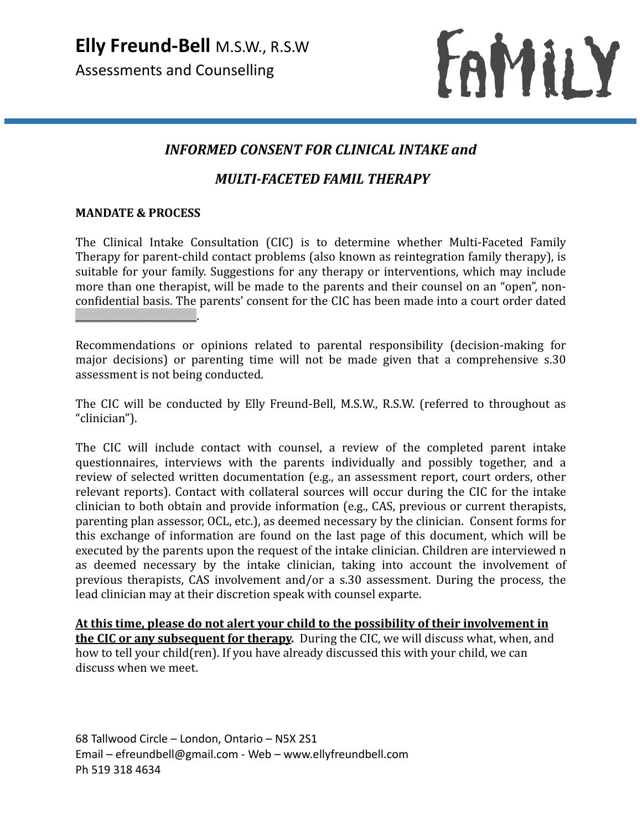

# *INFORMED CONSENT FOR CLINICAL INTAKE and*

# *MULTI-FACETED FAMIL THERAPY*

#### **MANDATE & PROCESS**

The Clinical Intake Consultation (CIC) is to determine whether Multi-Faceted Family Therapy for parent-child contact problems (also known as reintegration family therapy), is suitable for your family. Suggestions for any therapy or interventions, which may include more than one therapist, will be made to the parents and their counsel on an "open", nonconfidential basis. The parents' consent for the CIC has been made into a court order dated  $\overline{\phantom{a}}$  , where  $\overline{\phantom{a}}$  , where  $\overline{\phantom{a}}$  ,  $\overline{\phantom{a}}$  ,  $\overline{\phantom{a}}$  ,  $\overline{\phantom{a}}$  ,  $\overline{\phantom{a}}$  ,  $\overline{\phantom{a}}$  ,  $\overline{\phantom{a}}$  ,  $\overline{\phantom{a}}$  ,  $\overline{\phantom{a}}$  ,  $\overline{\phantom{a}}$  ,  $\overline{\phantom{a}}$  ,  $\overline{\phantom{a}}$  ,  $\overline{\phantom{a}}$  ,

Recommendations or opinions related to parental responsibility (decision-making for major decisions) or parenting time will not be made given that a comprehensive s.30 assessment is not being conducted.

The CIC will be conducted by Elly Freund-Bell, M.S.W., R.S.W. (referred to throughout as "clinician"). 

The CIC will include contact with counsel, a review of the completed parent intake questionnaires, interviews with the parents individually and possibly together, and a review of selected written documentation (e.g., an assessment report, court orders, other relevant reports). Contact with collateral sources will occur during the CIC for the intake clinician to both obtain and provide information (e.g., CAS, previous or current therapists, parenting plan assessor, OCL, etc.), as deemed necessary by the clinician. Consent forms for this exchange of information are found on the last page of this document, which will be executed by the parents upon the request of the intake clinician. Children are interviewed n as deemed necessary by the intake clinician, taking into account the involvement of previous therapists, CAS involvement and/or a s.30 assessment. During the process, the lead clinician may at their discretion speak with counsel exparte.

At this time, please do not alert your child to the possibility of their involvement in **the CIC or any subsequent for therapy.** During the CIC, we will discuss what, when, and how to tell your child(ren). If you have already discussed this with your child, we can discuss when we meet.

68 Tallwood Circle – London, Ontario – N5X 2S1 Email – efreundbell@gmail.com - Web – www.ellyfreundbell.com Ph 519 318 4634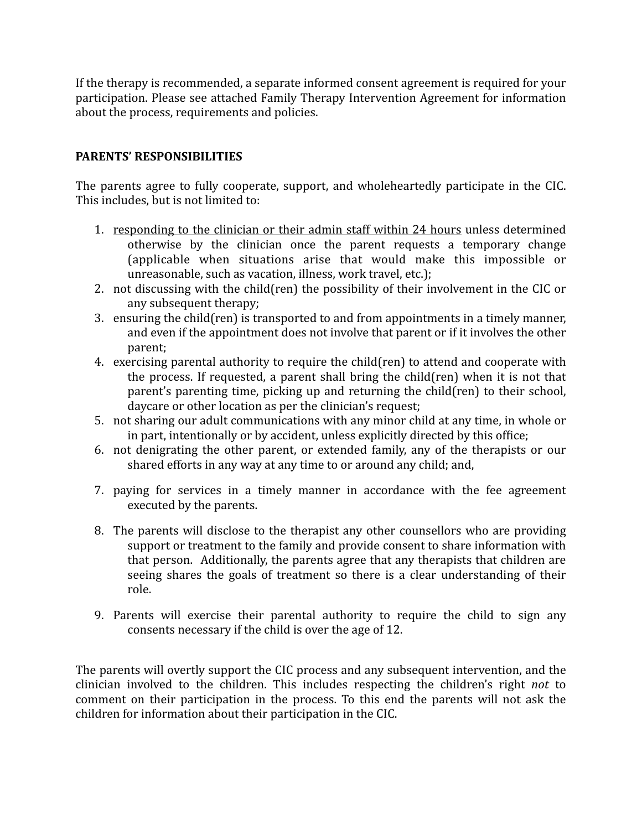If the therapy is recommended, a separate informed consent agreement is required for your participation. Please see attached Family Therapy Intervention Agreement for information about the process, requirements and policies.

### **PARENTS' RESPONSIBILITIES**

The parents agree to fully cooperate, support, and wholeheartedly participate in the CIC. This includes, but is not limited to:

- 1. responding to the clinician or their admin staff within 24 hours unless determined otherwise by the clinician once the parent requests a temporary change (applicable when situations arise that would make this impossible or unreasonable, such as vacation, illness, work travel, etc.);
- 2. not discussing with the child(ren) the possibility of their involvement in the CIC or any subsequent therapy;
- 3. ensuring the child(ren) is transported to and from appointments in a timely manner. and even if the appointment does not involve that parent or if it involves the other parent;
- 4. exercising parental authority to require the child(ren) to attend and cooperate with the process. If requested, a parent shall bring the child(ren) when it is not that parent's parenting time, picking up and returning the child(ren) to their school, daycare or other location as per the clinician's request;
- 5. not sharing our adult communications with any minor child at any time, in whole or in part, intentionally or by accident, unless explicitly directed by this office;
- 6. not denigrating the other parent, or extended family, any of the therapists or our shared efforts in any way at any time to or around any child; and,
- 7. paying for services in a timely manner in accordance with the fee agreement executed by the parents.
- 8. The parents will disclose to the therapist any other counsellors who are providing support or treatment to the family and provide consent to share information with that person. Additionally, the parents agree that any therapists that children are seeing shares the goals of treatment so there is a clear understanding of their role.
- 9. Parents will exercise their parental authority to require the child to sign any consents necessary if the child is over the age of 12.

The parents will overtly support the CIC process and any subsequent intervention, and the clinician involved to the children. This includes respecting the children's right *not* to comment on their participation in the process. To this end the parents will not ask the children for information about their participation in the CIC.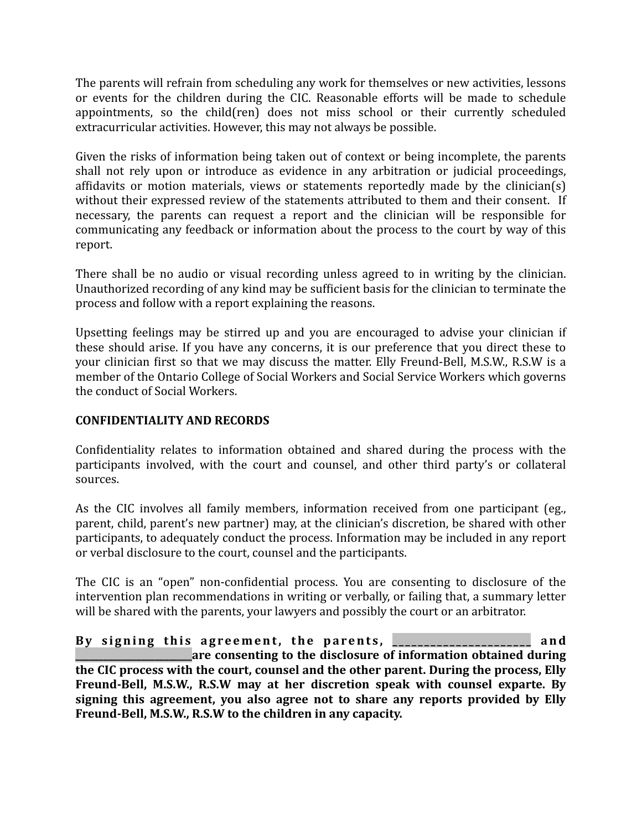The parents will refrain from scheduling any work for themselves or new activities, lessons or events for the children during the CIC. Reasonable efforts will be made to schedule appointments, so the child(ren) does not miss school or their currently scheduled extracurricular activities. However, this may not always be possible.

Given the risks of information being taken out of context or being incomplete, the parents shall not rely upon or introduce as evidence in any arbitration or judicial proceedings, affidavits or motion materials, views or statements reportedly made by the clinician(s) without their expressed review of the statements attributed to them and their consent. If necessary, the parents can request a report and the clinician will be responsible for communicating any feedback or information about the process to the court by way of this report. 

There shall be no audio or visual recording unless agreed to in writing by the clinician. Unauthorized recording of any kind may be sufficient basis for the clinician to terminate the process and follow with a report explaining the reasons.

Upsetting feelings may be stirred up and you are encouraged to advise your clinician if these should arise. If you have any concerns, it is our preference that you direct these to your clinician first so that we may discuss the matter. Elly Freund-Bell, M.S.W., R.S.W is a member of the Ontario College of Social Workers and Social Service Workers which governs the conduct of Social Workers.

### **CONFIDENTIALITY AND RECORDS**

Confidentiality relates to information obtained and shared during the process with the participants involved, with the court and counsel, and other third party's or collateral sources. 

As the CIC involves all family members, information received from one participant (eg., parent, child, parent's new partner) may, at the clinician's discretion, be shared with other participants, to adequately conduct the process. Information may be included in any report or verbal disclosure to the court, counsel and the participants.

The CIC is an "open" non-confidential process. You are consenting to disclosure of the intervention plan recommendations in writing or verbally, or failing that, a summary letter will be shared with the parents, your lawyers and possibly the court or an arbitrator.

By signing this agreement, the parents, **\_\_\_\_\_\_\_\_\_\_\_\_\_\_\_\_\_\_** and **are consenting to the disclosure of information obtained during** the CIC process with the court, counsel and the other parent. During the process, Elly Freund-Bell, M.S.W., R.S.W may at her discretion speak with counsel exparte. By signing this agreement, you also agree not to share any reports provided by Elly Freund-Bell, M.S.W., R.S.W to the children in any capacity.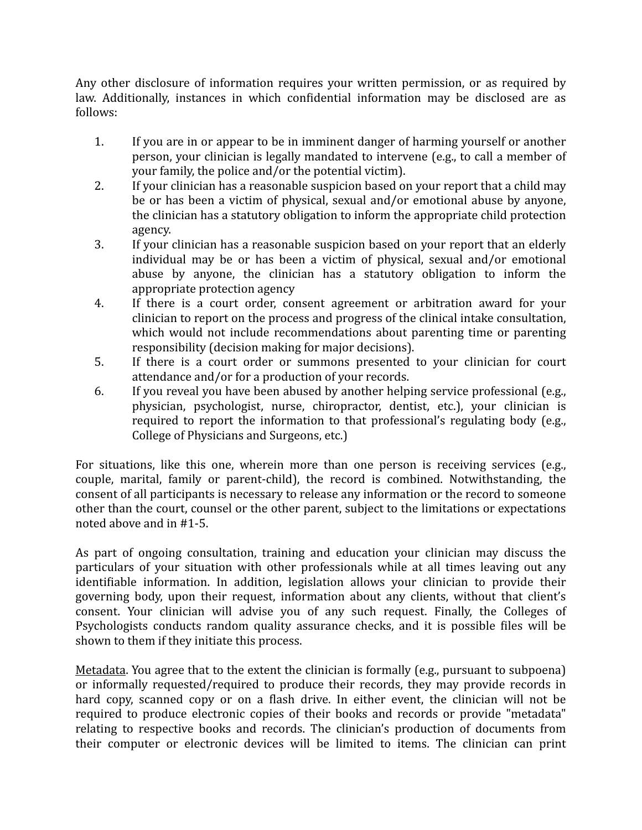Any other disclosure of information requires your written permission, or as required by law. Additionally, instances in which confidential information may be disclosed are as follows:

- 1. If you are in or appear to be in imminent danger of harming yourself or another person, your clinician is legally mandated to intervene (e.g., to call a member of your family, the police and/or the potential victim).
- 2. If your clinician has a reasonable suspicion based on your report that a child may be or has been a victim of physical, sexual and/or emotional abuse by anyone, the clinician has a statutory obligation to inform the appropriate child protection agency.
- 3. If your clinician has a reasonable suspicion based on your report that an elderly individual may be or has been a victim of physical, sexual and/or emotional abuse by anyone, the clinician has a statutory obligation to inform the appropriate protection agency
- 4. If there is a court order, consent agreement or arbitration award for your clinician to report on the process and progress of the clinical intake consultation, which would not include recommendations about parenting time or parenting responsibility (decision making for major decisions).
- 5. If there is a court order or summons presented to your clinician for court attendance and/or for a production of your records.
- 6. If you reveal you have been abused by another helping service professional (e.g., physician, psychologist, nurse, chiropractor, dentist, etc.), your clinician is required to report the information to that professional's regulating body (e.g., College of Physicians and Surgeons, etc.)

For situations, like this one, wherein more than one person is receiving services (e.g., couple, marital, family or parent-child), the record is combined. Notwithstanding, the consent of all participants is necessary to release any information or the record to someone other than the court, counsel or the other parent, subject to the limitations or expectations noted above and in #1-5.

As part of ongoing consultation, training and education your clinician may discuss the particulars of your situation with other professionals while at all times leaving out any identifiable information. In addition, legislation allows your clinician to provide their governing body, upon their request, information about any clients, without that client's consent. Your clinician will advise you of any such request. Finally, the Colleges of Psychologists conducts random quality assurance checks, and it is possible files will be shown to them if they initiate this process.

Metadata. You agree that to the extent the clinician is formally (e.g., pursuant to subpoena) or informally requested/required to produce their records, they may provide records in hard copy, scanned copy or on a flash drive. In either event, the clinician will not be required to produce electronic copies of their books and records or provide "metadata" relating to respective books and records. The clinician's production of documents from their computer or electronic devices will be limited to items. The clinician can print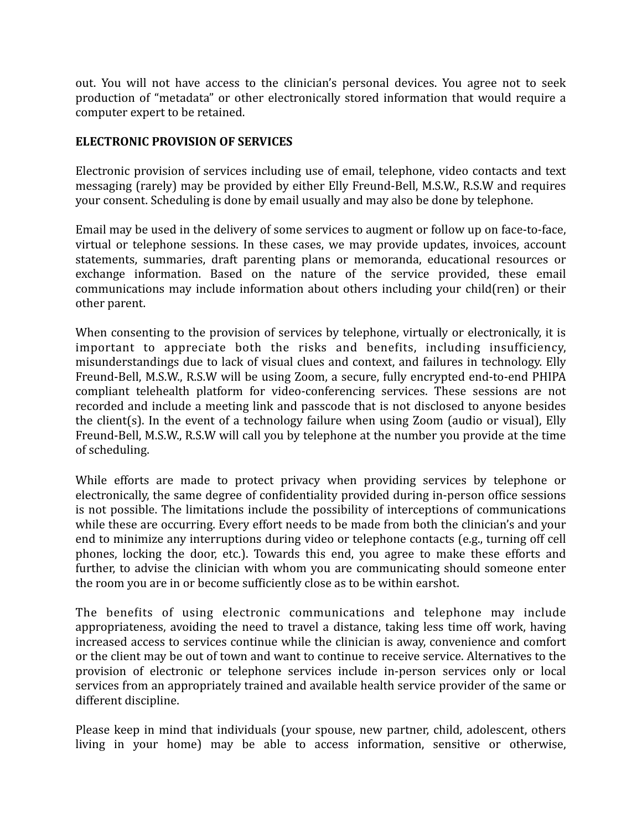out. You will not have access to the clinician's personal devices. You agree not to seek production of "metadata" or other electronically stored information that would require a computer expert to be retained.

### **ELECTRONIC PROVISION OF SERVICES**

Electronic provision of services including use of email, telephone, video contacts and text messaging (rarely) may be provided by either Elly Freund-Bell, M.S.W., R.S.W and requires your consent. Scheduling is done by email usually and may also be done by telephone.

Email may be used in the delivery of some services to augment or follow up on face-to-face, virtual or telephone sessions. In these cases, we may provide updates, invoices, account statements, summaries, draft parenting plans or memoranda, educational resources or exchange information. Based on the nature of the service provided, these email communications may include information about others including your child(ren) or their other parent.

When consenting to the provision of services by telephone, virtually or electronically, it is important to appreciate both the risks and benefits, including insufficiency, misunderstandings due to lack of visual clues and context, and failures in technology. Elly Freund-Bell, M.S.W., R.S.W will be using Zoom, a secure, fully encrypted end-to-end PHIPA compliant telehealth platform for video-conferencing services. These sessions are not recorded and include a meeting link and passcode that is not disclosed to anyone besides the client(s). In the event of a technology failure when using Zoom (audio or visual), Elly Freund-Bell, M.S.W., R.S.W will call you by telephone at the number you provide at the time of scheduling.

While efforts are made to protect privacy when providing services by telephone or electronically, the same degree of confidentiality provided during in-person office sessions is not possible. The limitations include the possibility of interceptions of communications while these are occurring. Every effort needs to be made from both the clinician's and your end to minimize any interruptions during video or telephone contacts (e.g., turning off cell phones, locking the door, etc.). Towards this end, you agree to make these efforts and further, to advise the clinician with whom you are communicating should someone enter the room you are in or become sufficiently close as to be within earshot.

The benefits of using electronic communications and telephone may include appropriateness, avoiding the need to travel a distance, taking less time off work, having increased access to services continue while the clinician is away, convenience and comfort or the client may be out of town and want to continue to receive service. Alternatives to the provision of electronic or telephone services include in-person services only or local services from an appropriately trained and available health service provider of the same or different discipline.

Please keep in mind that individuals (your spouse, new partner, child, adolescent, others living in your home) may be able to access information, sensitive or otherwise,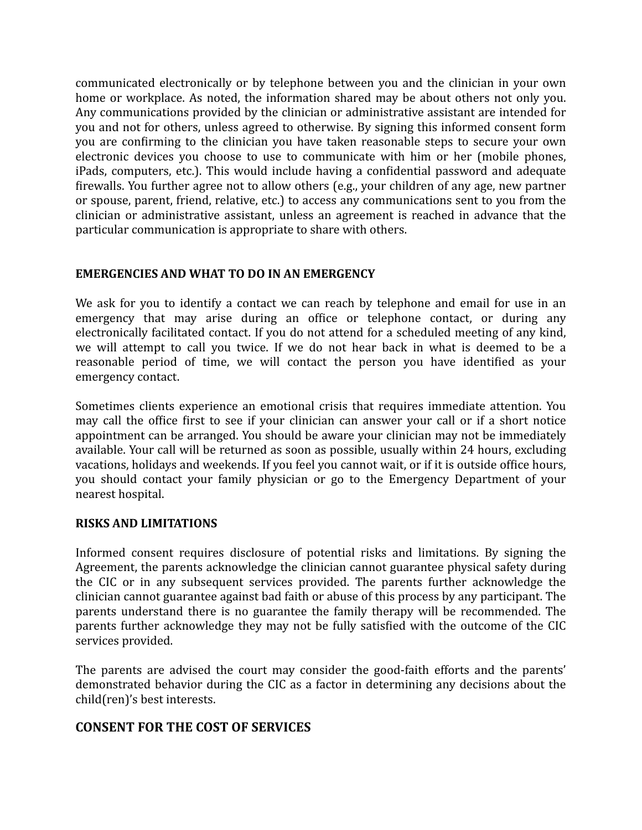communicated electronically or by telephone between you and the clinician in your own home or workplace. As noted, the information shared may be about others not only you. Any communications provided by the clinician or administrative assistant are intended for vou and not for others, unless agreed to otherwise. By signing this informed consent form you are confirming to the clinician you have taken reasonable steps to secure your own electronic devices you choose to use to communicate with him or her (mobile phones, iPads, computers, etc.). This would include having a confidential password and adequate firewalls. You further agree not to allow others (e.g., your children of any age, new partner or spouse, parent, friend, relative, etc.) to access any communications sent to you from the clinician or administrative assistant, unless an agreement is reached in advance that the particular communication is appropriate to share with others.

#### **EMERGENCIES AND WHAT TO DO IN AN EMERGENCY**

We ask for you to identify a contact we can reach by telephone and email for use in an emergency that may arise during an office or telephone contact, or during any electronically facilitated contact. If you do not attend for a scheduled meeting of any kind, we will attempt to call you twice. If we do not hear back in what is deemed to be a reasonable period of time, we will contact the person you have identified as your emergency contact. 

Sometimes clients experience an emotional crisis that requires immediate attention. You may call the office first to see if your clinician can answer your call or if a short notice appointment can be arranged. You should be aware your clinician may not be immediately available. Your call will be returned as soon as possible, usually within 24 hours, excluding vacations, holidays and weekends. If you feel you cannot wait, or if it is outside office hours, you should contact your family physician or go to the Emergency Department of your nearest hospital.

#### **RISKS AND LIMITATIONS**

Informed consent requires disclosure of potential risks and limitations. By signing the Agreement, the parents acknowledge the clinician cannot guarantee physical safety during the CIC or in any subsequent services provided. The parents further acknowledge the clinician cannot guarantee against bad faith or abuse of this process by any participant. The parents understand there is no guarantee the family therapy will be recommended. The parents further acknowledge they may not be fully satisfied with the outcome of the CIC services provided.

The parents are advised the court may consider the good-faith efforts and the parents' demonstrated behavior during the CIC as a factor in determining any decisions about the child(ren)'s best interests.

# **CONSENT FOR THE COST OF SERVICES**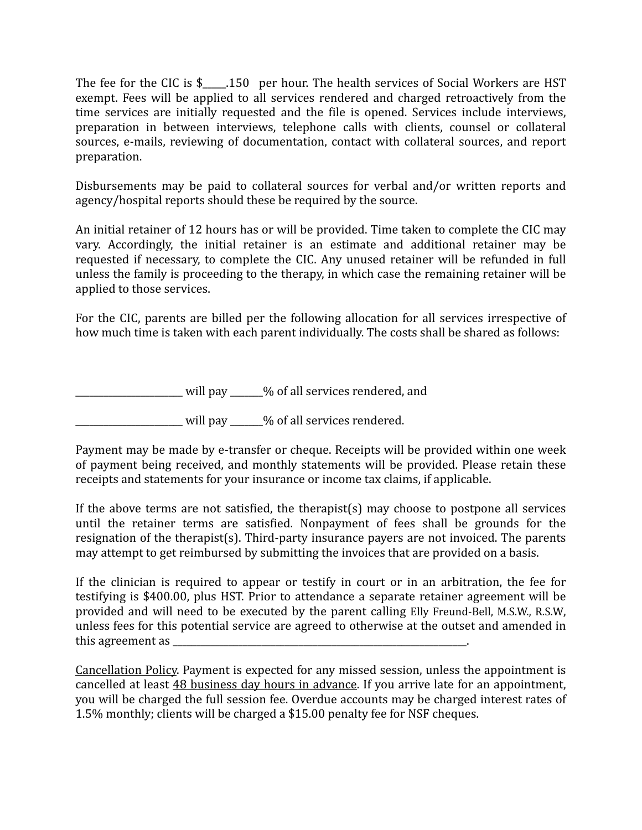The fee for the CIC is  $\frac{1}{2}$ . 150 per hour. The health services of Social Workers are HST exempt. Fees will be applied to all services rendered and charged retroactively from the time services are initially requested and the file is opened. Services include interviews, preparation in between interviews, telephone calls with clients, counsel or collateral sources, e-mails, reviewing of documentation, contact with collateral sources, and report preparation. 

Disbursements may be paid to collateral sources for verbal and/or written reports and agency/hospital reports should these be required by the source.

An initial retainer of 12 hours has or will be provided. Time taken to complete the CIC may vary. Accordingly, the initial retainer is an estimate and additional retainer may be requested if necessary, to complete the CIC. Any unused retainer will be refunded in full unless the family is proceeding to the therapy, in which case the remaining retainer will be applied to those services.

For the CIC, parents are billed per the following allocation for all services irrespective of how much time is taken with each parent individually. The costs shall be shared as follows:

 $\frac{1}{2}$  will pay  $\frac{1}{2}$  will pay  $\frac{1}{2}$  of all services rendered, and

will pay \_\_\_\_\_% of all services rendered.

Payment may be made by e-transfer or cheque. Receipts will be provided within one week of payment being received, and monthly statements will be provided. Please retain these receipts and statements for your insurance or income tax claims, if applicable.

If the above terms are not satisfied, the therapist(s) may choose to postpone all services until the retainer terms are satisfied. Nonpayment of fees shall be grounds for the resignation of the therapist(s). Third-party insurance payers are not invoiced. The parents may attempt to get reimbursed by submitting the invoices that are provided on a basis.

If the clinician is required to appear or testify in court or in an arbitration, the fee for testifying is \$400.00, plus HST. Prior to attendance a separate retainer agreement will be provided and will need to be executed by the parent calling Elly Freund-Bell, M.S.W., R.S.W. unless fees for this potential service are agreed to otherwise at the outset and amended in this agreement as

Cancellation Policy. Payment is expected for any missed session, unless the appointment is cancelled at least 48 business day hours in advance. If you arrive late for an appointment, you will be charged the full session fee. Overdue accounts may be charged interest rates of 1.5% monthly; clients will be charged a \$15.00 penalty fee for NSF cheques.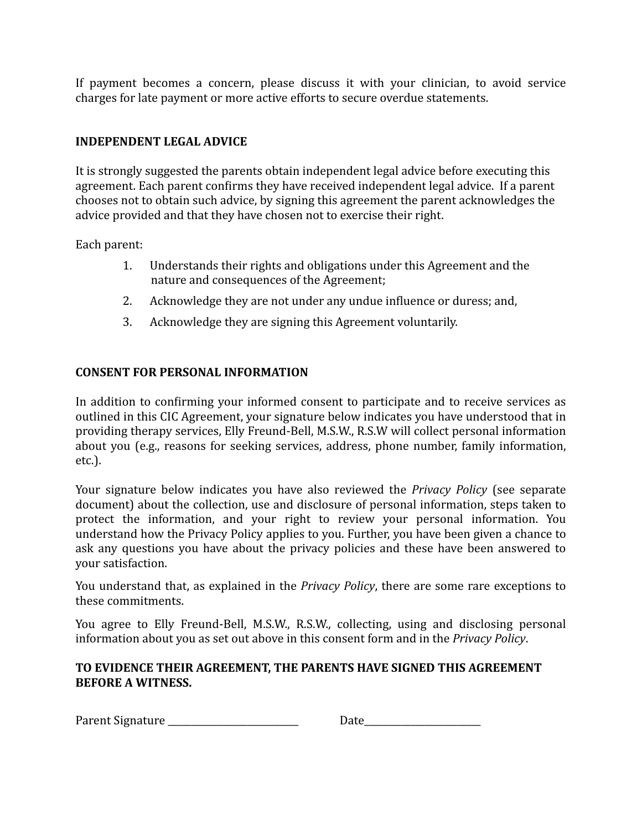If payment becomes a concern, please discuss it with your clinician, to avoid service charges for late payment or more active efforts to secure overdue statements.

## **INDEPENDENT LEGAL ADVICE**

It is strongly suggested the parents obtain independent legal advice before executing this agreement. Each parent confirms they have received independent legal advice. If a parent chooses not to obtain such advice, by signing this agreement the parent acknowledges the advice provided and that they have chosen not to exercise their right.

Each parent:

- 1. Understands their rights and obligations under this Agreement and the nature and consequences of the Agreement;
- 2. Acknowledge they are not under any undue influence or duress; and,
- 3. Acknowledge they are signing this Agreement voluntarily.

## **CONSENT FOR PERSONAL INFORMATION**

In addition to confirming your informed consent to participate and to receive services as outlined in this CIC Agreement, your signature below indicates you have understood that in providing therapy services, Elly Freund-Bell, M.S.W., R.S.W will collect personal information about vou (e.g., reasons for seeking services, address, phone number, family information, etc.).

Your signature below indicates you have also reviewed the *Privacy Policy* (see separate document) about the collection, use and disclosure of personal information, steps taken to protect the information, and your right to review your personal information. You understand how the Privacy Policy applies to you. Further, you have been given a chance to ask any questions you have about the privacy policies and these have been answered to your satisfaction.

You understand that, as explained in the *Privacy Policy*, there are some rare exceptions to these commitments.

You agree to Elly Freund-Bell, M.S.W., R.S.W., collecting, using and disclosing personal information about you as set out above in this consent form and in the *Privacy Policy*.

#### TO EVIDENCE THEIR AGREEMENT, THE PARENTS HAVE SIGNED THIS AGREEMENT **BEFORE A WITNESS.**

Parent Signature \_\_\_\_\_\_\_\_\_\_\_\_\_\_\_\_\_\_\_\_\_\_\_\_\_\_\_\_ Date\_\_\_\_\_\_\_\_\_\_\_\_\_\_\_\_\_\_\_\_\_\_\_\_\_

| Date |
|------|
|------|